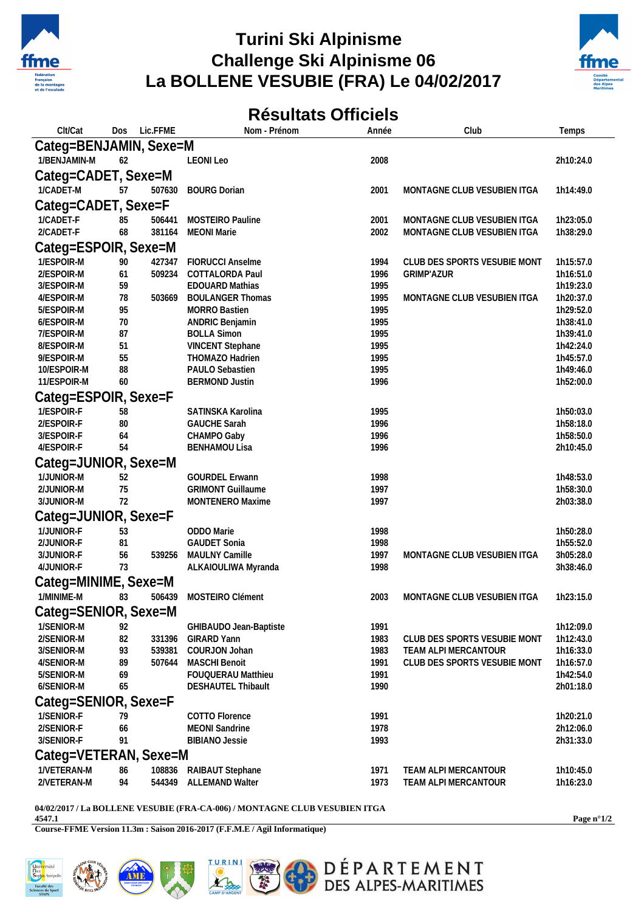

## **Turini Ski Alpinisme Challenge Ski Alpinisme 06 La BOLLENE VESUBIE (FRA) Le 04/02/2017**



## **Résultats Officiels**

| Clt/Cat                  | Dos      | Lic.FFME | Nom - Prénom                             | Année        | Club                         | Temps                  |  |
|--------------------------|----------|----------|------------------------------------------|--------------|------------------------------|------------------------|--|
| Categ=BENJAMIN, Sexe=M   |          |          |                                          |              |                              |                        |  |
| 1/BENJAMIN-M             | 62       |          | <b>LEONI Leo</b>                         | 2008         |                              | 2h10:24.0              |  |
| Categ=CADET, Sexe=M      |          |          |                                          |              |                              |                        |  |
| 1/CADET-M                | 57       | 507630   | <b>BOURG Dorian</b>                      | 2001         | MONTAGNE CLUB VESUBIEN ITGA  | 1h14:49.0              |  |
|                          |          |          |                                          |              |                              |                        |  |
| Categ=CADET, Sexe=F      |          |          |                                          |              |                              |                        |  |
| 1/CADET-F                | 85       | 506441   | MOSTEIRO Pauline                         | 2001         | MONTAGNE CLUB VESUBIEN ITGA  | 1h23:05.0              |  |
| 2/CADET-F                | 68       | 381164   | <b>MEONI Marie</b>                       | 2002         | MONTAGNE CLUB VESUBIEN ITGA  | 1h38:29.0              |  |
| Categ=ESPOIR, Sexe=M     |          |          |                                          |              |                              |                        |  |
| 1/ESPOIR-M               | 90       | 427347   | FIORUCCI Anselme                         | 1994         | CLUB DES SPORTS VESUBIE MONT | 1h15:57.0              |  |
| 2/ESPOIR-M               | 61       | 509234   | COTTALORDA Paul                          | 1996         | <b>GRIMP'AZUR</b>            | 1h16:51.0              |  |
| 3/ESPOIR-M               | 59       |          | <b>EDOUARD Mathias</b>                   | 1995         |                              | 1h19:23.0              |  |
| 4/ESPOIR-M               | 78       | 503669   | <b>BOULANGER Thomas</b>                  | 1995         | MONTAGNE CLUB VESUBIEN ITGA  | 1h20:37.0              |  |
| 5/ESPOIR-M<br>6/ESPOIR-M | 95<br>70 |          | <b>MORRO Bastien</b>                     | 1995<br>1995 |                              | 1h29:52.0<br>1h38:41.0 |  |
| 7/ESPOIR-M               | 87       |          | ANDRIC Benjamin<br><b>BOLLA Simon</b>    | 1995         |                              | 1h39:41.0              |  |
| 8/ESPOIR-M               | 51       |          | VINCENT Stephane                         | 1995         |                              | 1h42:24.0              |  |
| 9/ESPOIR-M               | 55       |          | THOMAZO Hadrien                          | 1995         |                              | 1h45:57.0              |  |
| 10/ESPOIR-M              | 88       |          | PAULO Sebastien                          | 1995         |                              | 1h49:46.0              |  |
| 11/ESPOIR-M              | 60       |          | <b>BERMOND Justin</b>                    | 1996         |                              | 1h52:00.0              |  |
| Categ=ESPOIR, Sexe=F     |          |          |                                          |              |                              |                        |  |
| 1/ESPOIR-F               | 58       |          | SATINSKA Karolina                        | 1995         |                              | 1h50:03.0              |  |
| 2/ESPOIR-F               | $80\,$   |          | <b>GAUCHE Sarah</b>                      | 1996         |                              | 1h58:18.0              |  |
| 3/ESPOIR-F               | 64       |          | CHAMPO Gaby                              | 1996         |                              | 1h58:50.0              |  |
| 4/ESPOIR-F               | 54       |          | <b>BENHAMOU Lisa</b>                     | 1996         |                              | 2h10:45.0              |  |
| Categ=JUNIOR, Sexe=M     |          |          |                                          |              |                              |                        |  |
| 1/JUNIOR-M               | 52       |          | <b>GOURDEL Erwann</b>                    | 1998         |                              | 1h48:53.0              |  |
| 2/JUNIOR-M               | 75       |          | <b>GRIMONT Guillaume</b>                 | 1997         |                              | 1h58:30.0              |  |
| 3/JUNIOR-M               | 72       |          | MONTENERO Maxime                         | 1997         |                              | 2h03:38.0              |  |
| Categ=JUNIOR, Sexe=F     |          |          |                                          |              |                              |                        |  |
|                          |          |          |                                          |              |                              |                        |  |
| 1/JUNIOR-F<br>2/JUNIOR-F | 53       |          | ODDO Marie<br><b>GAUDET Sonia</b>        | 1998         |                              | 1h50:28.0<br>1h55:52.0 |  |
| 3/JUNIOR-F               | 81<br>56 | 539256   | MAULNY Camille                           | 1998<br>1997 | MONTAGNE CLUB VESUBIEN ITGA  | 3h05:28.0              |  |
| 4/JUNIOR-F               | 73       |          | ALKAIOULIWA Myranda                      | 1998         |                              | 3h38:46.0              |  |
| Categ=MINIME, Sexe=M     |          |          |                                          |              |                              |                        |  |
|                          |          |          |                                          |              |                              |                        |  |
| 1/MINIME-M               | 83       | 506439   | MOSTEIRO Clément                         | 2003         | MONTAGNE CLUB VESUBIEN ITGA  | 1h23:15.0              |  |
| Categ=SENIOR, Sexe=M     |          |          |                                          |              |                              |                        |  |
| 1/SENIOR-M               | 92       |          | GHIBAUDO Jean-Baptiste                   | 1991         |                              | 1h12:09.0              |  |
| 2/SENIOR-M               | 82       | 331396   | <b>GIRARD Yann</b>                       | 1983         | CLUB DES SPORTS VESUBIE MONT | 1h12:43.0              |  |
| 3/SENIOR-M               | 93       | 539381   | COURJON Johan                            | 1983         | TEAM ALPI MERCANTOUR         | 1h16:33.0              |  |
| 4/SENIOR-M               | 89       | 507644   | <b>MASCHI Benoit</b>                     | 1991         | CLUB DES SPORTS VESUBIE MONT | 1h16:57.0              |  |
| 5/SENIOR-M<br>6/SENIOR-M | 69<br>65 |          | FOUQUERAU Matthieu<br>DESHAUTEL Thibault | 1991<br>1990 |                              | 1h42:54.0              |  |
|                          |          |          |                                          |              |                              | 2h01:18.0              |  |
| Categ=SENIOR, Sexe=F     |          |          |                                          |              |                              |                        |  |
| 1/SENIOR-F               | 79       |          | COTTO Florence                           | 1991         |                              | 1h20:21.0              |  |
| 2/SENIOR-F               | 66       |          | <b>MEONI</b> Sandrine                    | 1978         |                              | 2h12:06.0              |  |
| 3/SENIOR-F               | 91       |          | <b>BIBIANO Jessie</b>                    | 1993         |                              | 2h31:33.0              |  |
| Categ=VETERAN, Sexe=M    |          |          |                                          |              |                              |                        |  |
| 1/VETERAN-M              | 86       | 108836   | RAIBAUT Stephane                         | 1971         | TEAM ALPI MERCANTOUR         | 1h10:45.0              |  |
| 2/VETERAN-M              | 94       |          | 544349 ALLEMAND Walter                   | 1973         | TEAM ALPI MERCANTOUR         | 1h16:23.0              |  |

## **04/02/2017 / La BOLLENE VESUBIE (FRA-CA-006) / MONTAGNE CLUB VESUBIEN ITGA**

**4547.1**

**Course-FFME Version 11.3m : Saison 2016-2017 (F.F.M.E / Agil Informatique)**

**Page n°1/2**